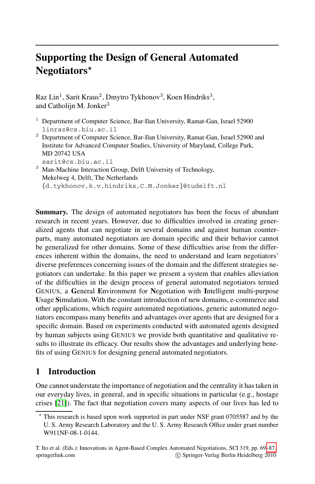# **Supporting the Design of General Automated Negotiators***-*

Raz Lin<sup>1</sup>, Sarit Kraus<sup>2</sup>, Dmytro Tykhonov<sup>3</sup>, Koen Hindriks<sup>3</sup>, and Catholiin M. Jonker $3$ 

- <sup>1</sup> Department of Computer Science, Bar-Ilan University, Ramat-Gan, Israel 52900 linraz@cs.biu.ac.il
- <sup>2</sup> Department of Computer Science, Bar-Ilan University, Ramat-Gan, Israel 52900 and Institute for Advanced Computer Studies, University of Maryland, College Park, MD 20742 USA sarit@cs.biu.ac.il
- <sup>3</sup> Man-Machine Interaction Group, Delft University of Technology, Mekelweg 4, Delft, The Netherlands {d.tykhonov,k.v.hindriks,C.M.Jonker}@tudelft.nl

**Summary.** The design of automated negotiators has been the focus of abundant research in recent years. However, due to difficulties involved in creating generalized agents that can negotiate in several domains and against human counterparts, many automated negotiators are domain specific and their behavior cannot be generalized for other domains. Some of these difficulties arise from the differences inherent within the domains, the need to understand and learn negotiators' diverse preferences concerning issues of the domain and the different strategies negotiators can undertake. In this paper we present a system that enables alleviation of the difficulties in the design process of general automated negotiators termed GENIUS, a **G**eneral **E**nvironment for **N**egotiation with **I**ntelligent multi-purpose **U**sage **S**imulation. With the constant introduction of new domains, e-commerce and other applications, which require automated negotiations, generic automated negotiators encompass many benefits and advantages over agents that are designed for a specific domain. Based on experiments conducted with automated agents designed by human subjects using GENIUS we provide both quantitative and qualitative results to illustrate its efficacy. Our results show the advantages and underlying benefits of using GENIUS for designing general automated negotiators.

### **1 Introduction**

One cannot understate the importance of negotiation and th[e](#page-18-0) [ce](#page-18-0)ntrality it has taken in our everyday lives, in general, and in specific situations in particular (e.g., hostage crises [21]). The fact that negotiation covers many aspects of our lives has led to

<sup>\*</sup> This research is based upon work supported in part under NSF grant 0705587 and by the U. S. Army Research Laboratory and the U. S. Army Research Office under grant number W911NF-08-1-0144.

T. Ito et al. (Eds.): Innovations in Agent-Based Complex Automated Negotiations, SCI 319, pp. 69–87. springerlink.com c Springer-Verlag Berlin Heidelberg 2010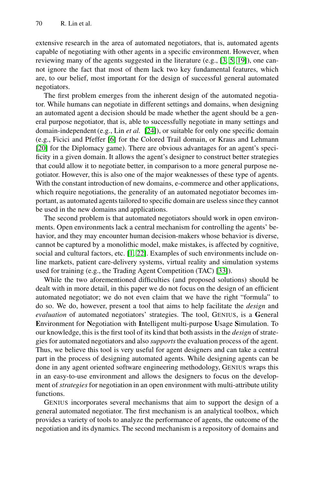extensive research in the area of automated negotiators, that is, automated agents capable of negotiating with other agents in a specific environment. However, when reviewing many [of t](#page-18-1)he agents suggested in the literature (e.g.,  $[3, 5, 19]$ ), one cannot [ign](#page-17-0)ore the fact that most of them lack two key fundamental features, which are, to our belief, most important for the design of successful general automated negotiators.

The first problem emerges from the inherent design of the automated negotiator. While humans can negotiate in different settings and domains, when designing an automated agent a decision should be made whether the agent should be a general purpose negotiator, that is, able to successfully negotiate in many settings and domain-independent (e.g., Lin *et al.* [24]), or suitable for only one specific domain (e.g., Ficici and Pfeffer [6] for the Colored Trail domain, or Kraus and Lehmann [20] for the Diplomacy game). There are obvious advantages for an agent's speci-ficity in a given domain. It allows the agent's designer to construct better strategies that could allow it to negotiate better, in comparison to a more general purpose negotiator. However, this is also one of the major weaknesses of these type of agents. With the c[ons](#page-17-1)[tant](#page-18-2) introduction of new domains, e-commerce and other applications, which require negotiations, the generality of an automated negotiator becomes important, as automated agents tailored to sp[ecifi](#page-18-3)c domain are useless since they cannot be used in the new domains and applications.

The second problem is that automated negotiators should work in open environments. Open environments lack a central mechanism for controlling the agents' behavior, and they may encounter human decision-makers whose behavior is diverse, cannot be captured by a monolithic model, make mistakes, is affected by cognitive, social and cultural factors, etc. [1, 22]. Examples of such environments include online markets, patient care-delivery systems, virtual reality and simulation systems used for training (e.g., the Trading Agent Competition (TAC) [33]).

While the two aforementioned difficulties (and proposed solutions) should be dealt with in more detail, in this paper we do not focus on the design of an efficient automated negotiator; we do not even claim that we have the right "formula" to do so. We do, however, present a tool that aims to help facilitate the *design* and *evaluation* of automated negotiators' strategies. The tool, GENIUS, is a **G**eneral **E**nvironment for **N**egotiation with **I**ntelligent multi-purpose **U**sage **S**imulation. To our knowledge, this is the first tool of its kind that both assists in the *design* of strategies for automated negotiators and also *supports* the evaluation process of the agent. Thus, we believe this tool is very useful for agent designers and can take a central part in the process of designing automated agents. While designing agents can be done in any agent oriented software engineering methodology, GENIUS wraps this in an easy-to-use environment and allows the designers to focus on the development of *strategies* for negotiation in an open environment with multi-attribute utility functions.

GENIUS incorporates several mechanisms that aim to support the design of a general automated negotiator. The first mechanism is an analytical toolbox, which provides a variety of tools to analyze the performance of agents, the outcome of the negotiation and its dynamics. The second mechanism is a repository of domains and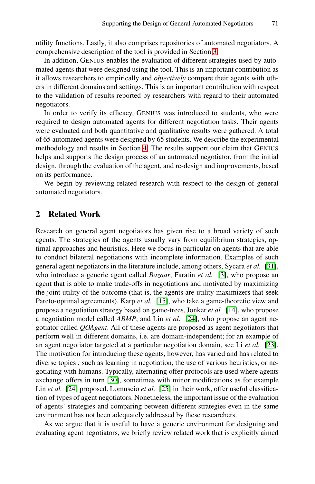utility functions. Lastly, it also comprises repositories of automated negotiators. A comprehensive description of the tool is provided in Section 3.

In addition, GENIUS enables the evaluation of different strategies used by automated agents that were designed using the tool. This is an important contribution as it allows resear[ch](#page--1-0)ers to empirically and *objectively* compare their agents with others in different domains and settings. This is an important contribution with respect to the validation of results reported by researchers with regard to their automated negotiators.

In order to verify its efficacy, GENIUS was introduced to students, who were required to design automated agents for different negotiation tasks. Their agents were evaluated and both quantitative and qualitative results were gathered. A total of 65 automated agents were designed by 65 students. We describe the experimental methodology and results in Section 4. The results support our claim that GENIUS helps and supports the design process of an automated negotiator, from the initial design, through the evaluation of the agent, and re-design and improvements, based on its performance.

We begin by reviewing related research with respect to the design of general automated negotiators.

### **2 Related Work**

Research on general [ag](#page-17-2)ent negotiators has given rise to a broad variety of such agents. The strategies of the agents usually [var](#page-17-3)y from equilibrium strategies, optimal approaches and heuristic[s. H](#page-18-1)ere we focus in particular on agents that are able to conduct bilateral negotiations with incomplete information. Examples of such general agent negotiators in the literature include, among others, Sycara *et al.* [31], who introduce a generic agent called *Bazaar*, Faratin *et [al.](#page-18-4)* [3], who propose an agent that is able to make trade-offs in negotiations and motivated by maximizing the joint utility of the outcome (that is, the agents are utility maximizers that seek Pareto-optimal agreements), Karp *et al.* [15], who take a game-theoretic view and pro[pose](#page-18-5) a negotiation strategy based on game-trees, Jonker *et al.* [14], who propose a negotiation model c[alle](#page-18-6)d *ABMP*, and Lin *et al.* [24], who propose an agent negotiator called *QOAgent*. All of these agents are proposed as agent negotiators that perform well in different domains, i.e. are domain-independent; for an example of an agent negotiator targeted at a particular negotiation domain, see Li *et al.* [23]. The motivation for introducing these agents, however, has varied and has related to diverse topics , such as learning in negotiation, the use of various heuristics, or negotiating with humans. Typically, alternating offer protocols are used where agents exchange offers in turn [30], sometimes with minor modifications as for example Lin *et al.* [24] proposed. Lomuscio *et al.* [25] in their work, offer useful classification of types of agent negotiators. Nonetheless, the important issue of the evaluation of agents' strategies and comparing between different strategies even in the same environment has not been adequately addressed by these researchers.

As we argue that it is useful to have a generic environment for designing and evaluating agent negotiators, we briefly review related work that is explicitly aimed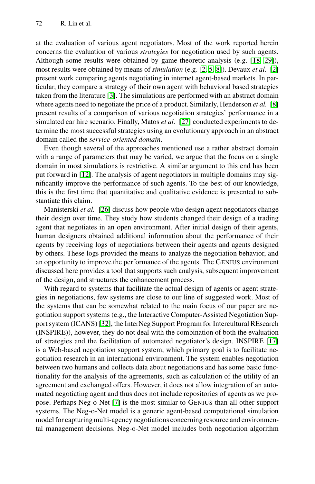at the evaluation of various agent negotiators. Most of th[e](#page-17-5) [w](#page-17-5)ork reported herein concerns the evaluation of v[ario](#page-18-7)us *strategies* for negotiation used by such agents. Although some results were obtained by game-theoretic analysis (e.g. [18, 29]), most results were obtained by means of *simulation* (e.g. [2, 5, 8]). Devaux *et al.* [2] present work comparing agents negotiating in internet agent-based markets. In particular, they compare a strategy of their own agent with behavioral based strategies taken from the literature [3]. The simulations are performed with an abstract domain where agents need to negotiate the price of a product. Similarly, Henderson *et al.* [8] present results of a comparison of various negotiation strategies' performance in a simulated car hire scenario. Finally, Matos *et al.* [27] conducted experiments to determine the most successful strategies using an evolutionary approach in an abstract d[om](#page-18-8)ain called the *service-oriented domain*.

Even though several of the approaches mentioned use a rather abstract domain with a range of parameters that may be varied, we argue that the focus on a single domain in most simulations is restrictive. A similar argument to this end has been put forward in [12]. The analysis of agent negotiators in multiple domains may significantly improve the performance of such agents. To the best of our knowledge, this is the first time that quantitative and qualitative evidence is presented to substantiate this claim.

Manisterski *et al.* [26] discuss how people who design agent negotiators change their design over time. They study how students changed their design of a trading agent that negotiates in an open environment. After initial design of their agents, human designers obtained additional information about the performance of their agents by receiving logs of negotiations between their agents and agents designed b[y o](#page-18-9)thers. These logs provided the means to analyze the negotiation behavior, and an opportunity to improve the performance of the agents. The GENIUS environment discussed here provides a tool that supports such analysis, [subs](#page-17-6)equent improvement of the design, and structures the enhancement process.

With regard to systems that facilitate the actual design of agents or agent strategies in negotiations, few systems are close to our line of suggested work. Most of the systems that can be somewhat related to the main focus of our paper are negotiation support systems (e.g., the Interactive Computer-Assisted Negotiation Support system (ICANS) [32], the InterNeg Support Program for Intercultural REsearch (INS[PIR](#page-17-7)E)), however, they do not deal with the combination of both the evaluation of strategies and the facilitation of automated negotiator's design. INSPIRE [17] is a Web-based negotiation support system, which primary goal is to facilitate negotiation research in an international environment. The system enables negotiation between two humans and collects data about negotiations and has some basic functionality for the analysis of the agreements, such as calculation of the utility of an agreement and exchanged offers. However, it does not allow integration of an automated negotiating agent and thus does not include repositories of agents as we propose. Perhaps Neg-o-Net [7] is the most similar to GENIUS than all other support systems. The Neg-o-Net model is a generic agent-based computational simulation model for capturing multi-agency negotiations concerning resource and environmental management decisions. Neg-o-Net model includes both negotiation algorithm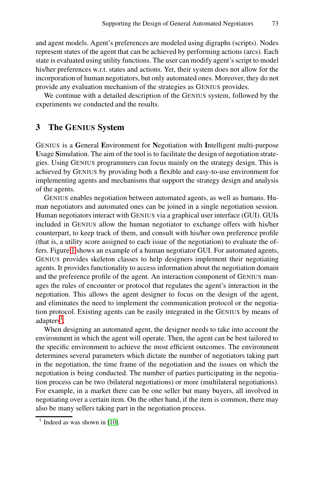and agent models. Agent's preferences are modeled using digraphs (scripts). Nodes represent states of the agent that can be achieved by performing actions (arcs). Each state is evaluated using utility functions. The user can modify agent's script to model his/her preferences w.r.t. states and actions. Yet, their system does not allow for the incorporation of human negotiators, but only automated ones. Moreover, they do not provide any evaluation mechanism of the strategies as GENIUS provides.

We continue with a detailed description of the GENIUS system, followed by the experiments we conducted and the results.

### **3 The GENIUS System**

GENIUS is a **G**eneral **E**nvironment for **N**egotiation with **I**ntelligent multi-purpose **U**sage **S**imulation. The aim of the tool is to facilitate the design of negotiation strategies. Using GENIUS programmers can focus mainly on the strategy design. This is achieved by GENIUS by providing both a flexible and easy-to-use environment for implementing agents and mechanisms that support the strategy design and analysis of the agents.

GENIUS enables negotiation between automated agents, as well as humans. Human negotiators and automated ones can be joined in a single negotiation session. Human negotiators interact with GENIUS via a graphical user interface (GUI). GUIs included in GENIUS allow the human negotiator to exchange offers with his/her counterpart, to keep track of them, and consult with his/her own preference profile (that is, a utility score assigned to each issue of the negotiation) to evaluate the offers. Figure 1 shows an example of a human negotiator GUI. For automated agents, GENIUS provides skeleton classes to help designers implement their negotiating agents. It provides functionality to access information about the negotiation domain and the preference profile of the agent. An interaction component of GENIUS manages the rules of encounter or protocol that regulates the agent's interaction in the negotiation. This allows the agent designer to focus on the design of the agent, and eliminates the need to implement the communication protocol or the negotiation protocol. Existing agents can be easily integrated in the GENIUS by means of  $adapters<sup>1</sup>$ .

When designing an automated agent, the designer needs to take into account the environment in which the agent will operate. Then, the agent can be best tailored to the specific environment to achieve the most efficient outcomes. The environment dete[rmi](#page-17-8)nes several parameters which dictate the number of negotiators taking part in the negotiation, the time frame of the negotiation and the issues on which the negotiation is being conducted. The number of parties participating in the negotiation process can be two (bilateral negotiations) or more (multilateral negotiations). For example, in a market there can be one seller but many buyers, all involved in negotiating over a certain item. On the other hand, if the item is common, there may also be many sellers taking part in the negotiation process.

 $1$  Indeed as was shown in [10].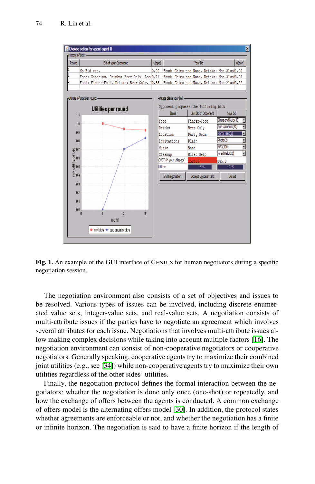

**Fig. 1.** An example of the GUI interface of GENIUS for human negotiators during a specific negotiation session.

[Th](#page-18-10)e negotiation environment also consists of a set of objectives and issues to be resolved. Various types of issues can be involved, including discrete enumerated value sets, integer-value sets, and real-value sets. A negotiation consists of multi-attribute issues if the parties have to negotiate an agreement which involves several attributes for each issue. Negotiations that involves multi-attribute issues allow making complex decis[ions](#page-18-5) while taking into account multiple factors [16]. The negotiation environment can consist of non-cooperative negotiators or cooperative negotiators. Generally speaking, cooperative agents try to maximize their combined joint utilities (e.g., see [34]) while non-cooperative agents try to maximize their own utilities regardless of the other sides' utilities.

Finally, the negotiation protocol defines the formal interaction between the negotiators: whether the negotiation is done only once (one-shot) or repeatedly, and how the exchange of offers between the agents is conducted. A common exchange of offers model is the alternating offers model [30]. In addition, the protocol states whether agreements are enforceable or not, and whether the negotiation has a finite or infinite horizon. The negotiation is said to have a finite horizon if the length of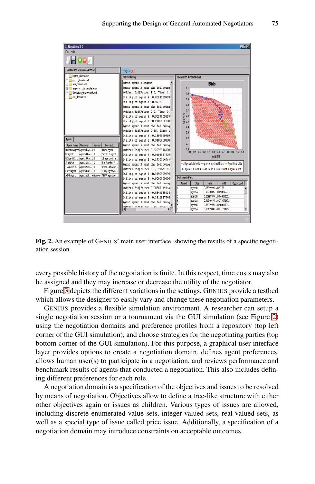

**Fig. 2.** An example of GENIUS' main user interface, showing the results of a specific negotiation session.

every possible history of the negotiation is finite. In this respect, time costs may also be assigned and they may increase or decrease the utility of the negotiator.

Figure 3 depicts the different variations in the settings. GENIUS provide a testbed which allows the designer to easily vary and change these negotiation parameters.

GENIUS provides a flexible simulation environment. A researcher can setup a single negotiation session or a tournament via the GUI simulation (see Figure 2) using the negotiation domains and preference profiles from a repository (top left corner of the GUI simulation), and choose strategies for the negotiating parties (top bottom corner of the GUI simulation). For this purpose, a graphical user interface layer provides options to create a negotiation domain, defines agent preferences, allows human user(s) to participate in a negotiation, and reviews performance and benchmark results of agents that conducted a negotiation. This also includes defining different preferences for each role.

A negotiation domain is a specification of the objectives and issues to be resolved by means of negotiation. Objectives allow to define a tree-like structure with either other objectives again or issues as children. Various types of issues are allowed, including discrete enumerated value sets, integer-valued sets, real-valued sets, as well as a special type of issue called price issue. Additionally, a specification of a negotiation domain may introduce constraints on acceptable outcomes.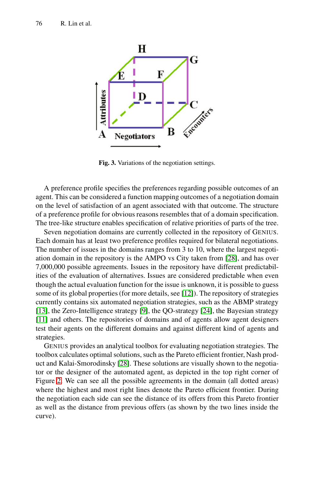

**Fig. 3.** Variations of the negotiation settings.

A preference profile specifies the prefere[nces](#page-18-11) regarding possible outcomes of an agent. This can be considered a function mapping outcomes of a negotiation domain on the level of satisfaction of an agent associated with that outcome. The structure of a preference profile for obvious reasons resembles that of a domain specification. The tree-like structure enable[s sp](#page-17-9)ecification of relative priorities of parts of the tree.

Seven negotiation domains are currently collected in the repository of GENIUS. Each domain h[as](#page-17-10) at least two prefer[ence](#page-18-1) profiles required for bilateral negotiations. The number of issues in the domains ranges from 3 to 10, where the largest negotiation domain in the repository is the AMPO vs City taken from [28], and has over 7,000,000 possible agreements. Issues in the repository have different predictabilities of the evaluation of alternatives. Issues are considered predictable when even though the actual evaluation function for the issue is unknown, it is possible to guess some of [its](#page-18-11) global properties (for more details, see [12]). The repository of strategies currently contains six automated negotiation strategies, such as the ABMP strategy [13], the Zero-Intelligence strategy [9], the QO-strategy [24], the Bayesian strategy [11] and others. The repositories of domains and of agents allow agent designers test their agents on the different domains and against different kind of agents and strategies.

GENIUS provides an analytical toolbox for evaluating negotiation strategies. The toolbox calculates optimal solutions, such as the Pareto efficient frontier, Nash product and Kalai-Smorodinsky [28]. These solutions are visually shown to the negotiator or the designer of the automated agent, as depicted in the top right corner of Figure 2. We can see all the possible agreements in the domain (all dotted areas) where the highest and most right lines denote the Pareto efficient frontier. During the negotiation each side can see the distance of its offers from this Pareto frontier as well as the distance from previous offers (as shown by the two lines inside the curve).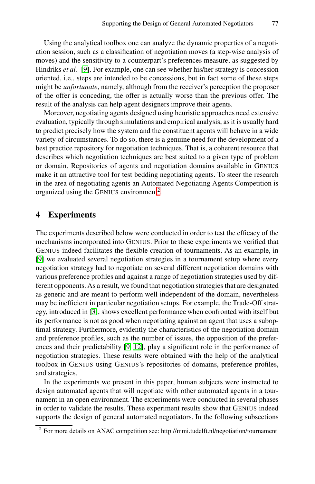Using the analytical toolbox one can analyze the dynamic properties of a negotiation session, such as a classification of negotiation moves (a step-wise analysis of moves) and the sensitivity to a counterpart's preferences measure, as suggested by Hindriks *et al.* [9]. For example, one can see whether his/her strategy is concession oriented, i.e., steps are intended to be concessions, but in fact some of these steps might be *unfortunate*, namely, although from the receiver's perception the proposer of the offer is conceding, the offer is actually worse than the previous offer. The result of the analysis can help agent designers improve their agents.

Moreover, negotiating agents designed using heuristic approaches need extensive evaluation, typically [th](#page-8-0)rough simulations and empirical analysis, as it is usually hard to predict precisely how the system and the constituent agents will behave in a wide variety of circumstances. To do so, there is a genuine need for the development of a best practice repository for negotiation techniques. That is, a coherent resource that describes which negotiation techniques are best suited to a given type of problem or domain. Repositories of agents and negotiation domains available in GENIUS make it an attractive tool for test bedding negotiating agents. To steer the research in the area of negotiating agents an Automated Negotiating Agents Competition is organized using the GENIUS environment<sup>2</sup>.

### **4 Experiments**

The experiments described below were conducted in order to test the efficacy of the mechanisms incorporated into GENIUS. Prior to these experiments we verified that GENIUS indeed facilitates the flexible creation of tournaments. As an example, in [9] we evaluated several negotiation strategies in a tournament setup where every negotiation strategy had to negotiate on several different negotiation domains with various p[ref](#page-17-10)[eren](#page-17-9)ce profiles and against a range of negotiation strategies used by different opponents. As a result, we found that negotiation strategies that are designated as generic and are meant to perform well independent of the domain, nevertheless may be inefficient in particular negotiation setups. For example, the Trade-Off strategy, introduced in [3], shows excellent performance when confronted with itself but its performance is not as good when negotiating against an agent that uses a suboptimal strategy. Furthermore, evidently the characteristics of the negotiation domain and preference profiles, such as the number of issues, the opposition of the preferences and their predictability [9, 12], play a significant role in the performance of negotiation strategies. These results were obtained with the help of the analytical toolbox in GENIUS using GENIUS's repositories of domains, preference profiles, and strategies.

<span id="page-8-0"></span>In the experiments we present in this paper, human subjects were instructed to design automated agents that will negotiate with other automated agents in a tournament in an open environment. The experiments were conducted in several phases in order to validate the results. These experiment results show that GENIUS indeed supports the design of general automated negotiators. In the following subsections

<sup>2</sup> For more details on ANAC competition see: http://mmi.tudelft.nl/negotiation/tournament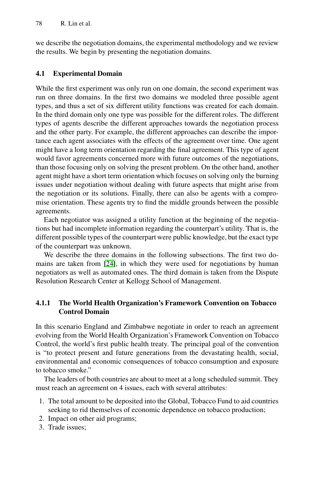we describe the negotiation domains, the experimental methodology and we review the results. We begin by presenting the negotiation domains.

### **4.1 Experimental Domain**

While the first experiment was only run on one domain, the second experiment was run on three domains. In the first two domains we modeled three possible agent types, and thus a set of six different utility functions was created for each domain. In the third domain only one type was possible for the different roles. The different types of agents describe the different approaches towards the negotiation process and the other party. For example, the different approaches can describe the importance each agent associates with the effects of the agreement over time. One agent might have a long term orientation regarding the final agreement. This type of agent would favor agreements concerned more with future outcomes of the negotiations, than those focusing only on solving the present problem. On the other hand, another agent might have a short term orientation which focuses on solving only the burning issues under negotiation without dealing with future aspects that might arise from the [ne](#page-18-1)gotiation or its solutions. Finally, there can also be agents with a compromise orientation. These agents try to find the middle grounds between the possible agreements.

Each negotiator was assigned a utility function at the beginning of the negotiations but had incomplete information regarding the counterpart's utility. That is, the different possible types of the counterpart were public knowledge, but the exact type of the counterpart was unknown.

We describe the three domains in the following subsections. The first two domains are taken from [24], in which they were used for negotiations by human negotiators as well as automated ones. The third domain is taken from the Dispute Resolution Research Center at Kellogg School of Management.

### **4.1.1 The World Health Organization's Framework Convention on Tobacco Control Domain**

In this scenario England and Zimbabwe negotiate in order to reach an agreement evolving from the World Health Organization's Framework Convention on Tobacco Control, the world's first public health treaty. The principal goal of the convention is "to protect present and future generations from the devastating health, social, environmental and economic consequences of tobacco consumption and exposure to tobacco smoke."

The leaders of both countries are about to meet at a long scheduled summit. They must reach an agreement on 4 issues, each with several attributes:

- 1. The total amount to be deposited into the Global, Tobacco Fund to aid countries seeking to rid themselves of economic dependence on tobacco production;
- 2. Impact on other aid programs;
- 3. Trade issues;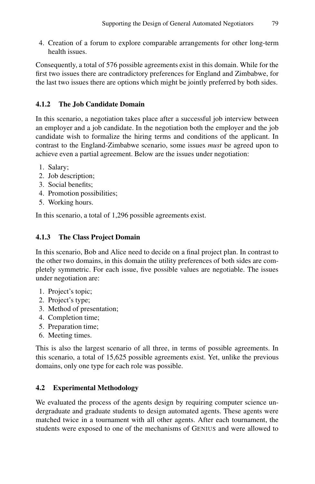4. Creation of a forum to explore comparable arrangements for other long-term health issues.

Consequently, a total of 576 possible agreements exist in this domain. While for the first two issues there are contradictory preferences for England and Zimbabwe, for the last two issues there are options which might be jointly preferred by both sides.

### <span id="page-10-0"></span>**4.1.2 The Job Candidate Domain**

In this scenario, a negotiation takes place after a successful job interview between an employer and a job candidate. In the negotiation both the employer and the job candidate wish to formalize the hiring terms and conditions of the applicant. In contrast to the England-Zimbabwe scenario, some issues *must* be agreed upon to achieve even a partial agreement. Below are the issues under negotiation:

- 1. Salary;
- 2. Job description;
- 3. Social benefits;
- 4. Promotion possibilities;
- 5. Working hours.

In this scenario, a total of 1,296 possible agreements exist.

### <span id="page-10-1"></span>**4.1.3 The Class Project Domain**

In this scenario, Bob and Alice need to decide on a final project plan. In contrast to the other two domains, in this domain the utility preferences of both sides are completely symmetric. For each issue, five possible values are negotiable. The issues under negotiation are:

- 1. Project's topic;
- 2. Project's type;
- 3. Method of presentation;
- 4. Completion time;
- 5. Preparation time;
- 6. Meeting times.

This is also the largest scenario of all three, in terms of possible agreements. In this scenario, a total of 15,625 possible agreements exist. Yet, unlike the previous domains, only one type for each role was possible.

### **4.2 Experimental Methodology**

We evaluated the process of the agents design by requiring computer science undergraduate and graduate students to design automated agents. These agents were matched twice in a tournament with all other agents. After each tournament, the students were exposed to one of the mechanisms of GENIUS and were allowed to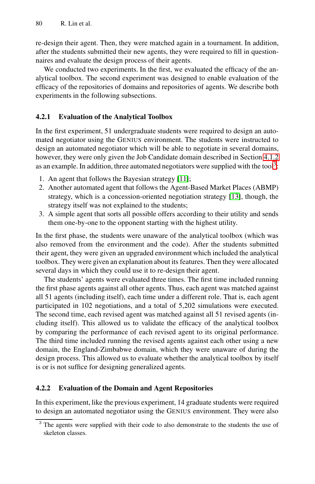re-design their agent. Then, they were matched again in a tournament. In addition, after the students submitted their new agents, they were required to fill in questionnaires and evaluate the design process of their agents.

We conducted two experiments. In the first, we evaluated the efficacy of the analytical toolbox. The second experiment was designed to enable evaluation of the efficacy of the repositories of domains and repositories o[f agen](#page-10-0)ts. We describe both experiments in the following subsections.

### **4.2.1 Evaluation of the [Anal](#page-17-11)ytical Toolbox**

In the first experiment, 51 undergraduate stud[ents](#page-17-12) were required to design an automated negotiator using the GENIUS environment. The students were instructed to design an automated negotiator which will be able to negotiate in several domains, however, they were only given the Job Candidate domain described in Section 4.1.2 as an example. In addition, three automated negotiators were supplied with the tool<sup>3</sup>:

- 1. An agent that follows the Bayesian strategy [11];
- 2. Another automated agent that follows the Agent-Based Market Places (ABMP) strategy, which is a concession-oriented negotiation strategy [13], though, the strategy itself was not explained to the students;
- 3. A simple agent that sorts all possible offers according to their utility and sends them one-by-one to the opponent starting with the highest utility.

In the first phase, the students were unaware of the analytical toolbox (which was also removed from the environment and the code). After the students submitted their agent, they were given an upgraded environment which included the analytical toolbox. They were given an explanation about its features. Then they were allocated several days in which they could use it to re-design their agent.

The students' agents were evaluated three times. The first time included running the first phase agents against all other agents. Thus, each agent was matched against all 51 agents (including itself), each time under a different role. That is, each agent participated in 102 negotiations, and a total of 5,202 simulations were executed. The second time, each revised agent was matched against all 51 revised agents (including itself). This allowed us to validate the efficacy of the analytical toolbox by comparing the performance of each revised agent to its original performance. The third time included running the revised agents against each other using a new domain, the England-Zimbabwe domain, which they were unaware of during the design process. This allowed us to evaluate whether the analytical toolbox by itself is or is not suffice for designing generalized agents.

### **4.2.2 Evaluation of the Domain and Agent Repositories**

In this experiment, like the previous experiment, 14 graduate students were required to design an automated negotiator using the GENIUS environment. They were also

<sup>&</sup>lt;sup>3</sup> The agents were supplied with their code to also demonstrate to the students the use of skeleton classes.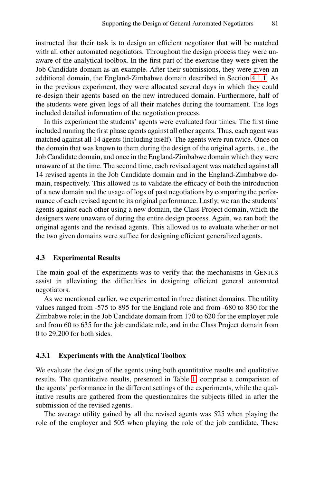instructed that their task is to design an efficient negotiator that will be matched with all other automated negotiators. Throughout the design process they were unaware of the analytical toolbox. In the first part of the exercise they were given the Job Candidate domain as an example. After their submissions, they were given an additional domain, the England-Zimbabwe domain described in Section 4.1.1. As in the previous experiment, they were allocated several days in which they could re-design their agents based on the new introduced domain. Furthermore, half of the students were given logs of all their matches during the tournament. The logs included detailed information of the negotiation process.

In this experiment the students' agents were evaluated four times. The first time included running the first phase agents against all other agents. Thus, each agent was matched against all 14 agents (including itself). The agents were run twice. Once on the domain that was known to them during the design of the original agents, i.e., the Job Candidate domain, and once in the England-Zimbabwe domain which they were unaware of at the time. The second time, each revised agent was matched against all 14 revised agents in the Job Candidate domain and in the England-Zimbabwe domain, respectively. This allowed us to validate the efficacy of both the introduction of a new domain and the usage of logs of past negotiations by comparing the performance of each revised agent to its original performance. Lastly, we ran the students' agents against each other using a new domain, the Class Project domain, which the designers were unaware of during the entire design process. Again, we ran both the original agents and the revised agents. This allowed us to evaluate whether or not the two given domains were suffice for designing efficient generalized agents.

### **4.3 Experimental Results**

The main goal of the experiments was to verify that the mechanisms in GENIUS assist in alleviating the difficulties in designing efficient general automated negotiators.

As we mentioned earlier, we experimented in three distinct domains. The utility values ranged from -575 to 895 [fo](#page--1-1)r the England role and from -680 to 830 for the Zimbabwe role; in the Job Candidate domain from 170 to 620 for the employer role and from 60 to 635 for the job candidate role, and in the Class Project domain from 0 to 29,200 for both sides.

#### **4.3.1 Experiments with the Analytical Toolbox**

We evaluate the design of the agents using both quantitative results and qualitative results. The quantitative results, presented in Table 1, comprise a comparison of the agents' performance in the different settings of the experiments, while the qualitative results are gathered from the questionnaires the subjects filled in after the submission of the revised agents.

The average utility gained by all the revised agents was 525 when playing the role of the employer and 505 when playing the role of the job candidate. These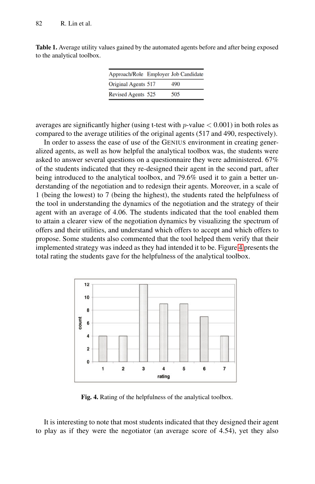**Table 1.** Average utility values gained by the automated agents before and after being exposed to the analytical toolbox.

| Approach/Role Employer Job Candidate |     |
|--------------------------------------|-----|
| Original Agents 517                  | 490 |
| Revised Agents 525                   | 505 |

averages are significantly higher (using t-test with  $p$ -value  $< 0.001$ ) in both roles as compared to the average utilities of the original agents (517 and 490, respectively).

In order to assess the ease of use of the GENIUS environment in creating generalized agents, as well as how helpful the analytical toolbox was, the students were asked to answer several questions on a questionnaire they were administered. 67% of the students indicated that they re-designed their agent in the second part, after being introduced to the analytical toolbox, and [79](#page--1-2).6% used it to gain a better understanding of the negotiation and to redesign their agents. Moreover, in a scale of 1 (being the lowest) to 7 (being the highest), the students rated the helpfulness of the tool in understanding the dynamics of the negotiation and the strategy of their agent with an average of 4.06. The students indicated that the tool enabled them to attain a clearer view of the negotiation dynamics by visualizing the spectrum of offers and their utilities, and understand which offers to accept and which offers to propose. Some students also commented that the tool helped them verify that their implemented strategy was indeed as they had intended it to be. Figure 4 presents the total rating the students gave for the helpfulness of the analytical toolbox.



**Fig. 4.** Rating of the helpfulness of the analytical toolbox.

It is interesting to note that most students indicated that they designed their agent to play as if they were the negotiator (an average score of 4.54), yet they also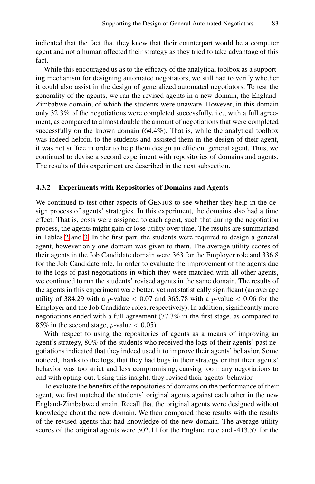indicated that the fact that they knew that their counterpart would be a computer agent and not a human affected their strategy as they tried to take advantage of this fact.

While this encouraged us as to the efficacy of the analytical toolbox as a supporting mechanism for designing automated negotiators, we still had to verify whether it could also assist in the design of generalized automated negotiators. To test the generality of the agents, we ran the revised agents in a new domain, the England-Zimbabwe domain, of which the students were unaware. However, in this domain only 32.3% of the negotiations were completed successfully, i.e., with a full agreement, as compared to almost double the amount of negotiations that were completed successfully on the known domain (64.4%). That is, while the analytical toolbox was indeed helpful to the students and assisted them in the design of their agent, it was not suffice in order to help them design an efficient general agent. Thus, we continued to devise a second experiment with repositories of domains and agents. The results of this experiment are described in the next subsection.

### **4.3.2 Experiments with Repositories of Domains and Agents**

We continued to test other aspects of GENIUS to see whether they help in the design process of agents' strategies. In this experiment, the domains also had a time effect. That is, costs were assigned to each agent, such that during the negotiation process, the agents might gain or lose utility over time. The results are summarized in Tables 2 and 3. In the first part, the students were required to design a general agent, however only one domain was given to them. The average utility scores of their agents in the Job Candidate domain were 363 for the Employer role and 336.8 for the Job Candidate role. In order to evaluate the improvement of the agents due to the logs of past negotiations in which they were matched with all other agents, we continued to run the students' revised agents in the same domain. The results of the agents in this experiment were better, yet not statistically significant (an average utility of 384.29 with a p-value  $< 0.07$  and 365.78 with a p-value  $< 0.06$  for the Employer and the Job Candidate roles, respectively). In addition, significantly more negotiations ended with a full agreement (77.3% in the first stage, as compared to 85% in the second stage, *p*-value  $< 0.05$ ).

With respect to using the repositories of agents as a means of improving an agent's strategy, 80% of the students who received the logs of their agents' past negotiations indicated that they indeed used it to improve their agents' behavior. Some noticed, thanks to the logs, that they had bugs in their strategy or that their agents' behavior was too strict and less compromising, causing too many negotiations to end with opting-out. Using this insight, they revised their agents' behavior.

To evaluate the benefits of the repositories of domains on the performance of their agent, we first matched the students' original agents against each other in the new England-Zimbabwe domain. Recall that the original agents were designed without knowledge about the new domain. We then compared these results with the results of the revised agents that had knowledge of the new domain. The average utility scores of the original agents were 302.11 for the England role and -413.57 for the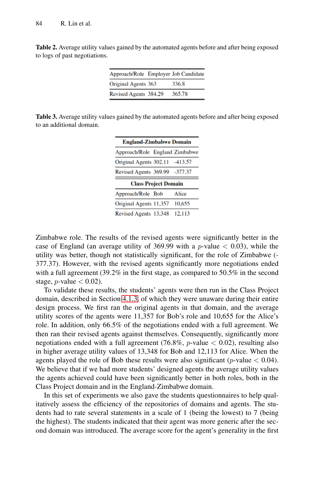**Table 2.** Average utility values gained by the automated agents before and after being exposed to logs of past negotiations.

| Approach/Role Employer Job Candidate |        |
|--------------------------------------|--------|
| Original Agents 363                  | 336.8  |
| Revised Agents 384.29                | 365.78 |

**Table 3.** Average utility values gained by the automated agents before and after being exposed to an additional domain.

| <b>England-Zimbabwe Domain</b> |           |  |  |
|--------------------------------|-----------|--|--|
| Approach/Role England Zimbabwe |           |  |  |
| Original Agents 302.11         | $-413.57$ |  |  |
| Revised Agents 369.99          | $-377.37$ |  |  |
| <b>Class Project Domain</b>    |           |  |  |
|                                |           |  |  |
| Approach/Role Bob              | Alice     |  |  |
| Original Agents 11,357         | 10.655    |  |  |

Zimbab[we](#page-10-1) [rol](#page-10-1)e. The results of the revised agents were significantly better in the case of England (an average utility of 369.99 with a *p*-value  $<$  0.03), while the utility was better, though not statistically significant, for the role of Zimbabwe (- 377.37). However, with the revised agents significantly more negotiations ended with a full agreement (39.2% in the first stage, as compared to 50.5% in the second stage,  $p$ -value  $< 0.02$ ).

To validate these results, the students' agents were then run in the Class Project domain, described in Section 4.1.3, of which they were unaware during their entire design process. We first ran the original agents in that domain, and the average utility scores of the agents were 11,357 for Bob's role and 10,655 for the Alice's role. In addition, only 66.5% of the negotiations ended with a full agreement. We then ran their revised agents against themselves. Consequently, significantly more negotiations ended with a full agreement (76.8%, p-value  $< 0.02$ ), resulting also in higher average utility values of 13,348 for Bob and 12,113 for Alice. When the agents played the role of Bob these results were also significant ( $p$ -value  $< 0.04$ ). We believe that if we had more students' designed agents the average utility values the agents achieved could have been significantly better in both roles, both in the Class Project domain and in the England-Zimbabwe domain.

In this set of experiments we also gave the students questionnaires to help qualitatively assess the efficiency of the repositories of domains and agents. The students had to rate several statements in a scale of 1 (being the lowest) to 7 (being the highest). The students indicated that their agent was more generic after the second domain was introduced. The average score for the agent's generality in the first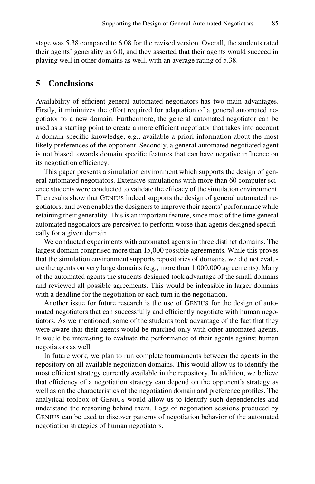stage was 5.38 compared to 6.08 for the revised version. Overall, the students rated their agents' generality as 6.0, and they asserted that their agents would succeed in playing well in other domains as well, with an average rating of 5.38.

### **5 Conclusions**

Availability of efficient general automated negotiators has two main advantages. Firstly, it minimizes the effort required for adaptation of a general automated negotiator to a new domain. Furthermore, the general automated negotiator can be used as a starting point to create a more efficient negotiator that takes into account a domain specific knowledge, e.g., available a priori information about the most likely preferences of the opponent. Secondly, a general automated negotiated agent is not biased towards domain specific features that can have negative influence on its negotiation efficiency.

This paper presents a simulation environment which supports the design of general automated negotiators. Extensive simulations with more than 60 computer science students were conducted to validate the efficacy of the simulation environment. The results show that GENIUS indeed supports the design of general automated negotiators, and even enables the designers to improve their agents' performance while retaining their generality. This is an important feature, since most of the time general automated negotiators are perceived to perform worse than agents designed specifically for a given domain.

We conducted experiments with automated agents in three distinct domains. The largest domain comprised more than 15,000 possible agreements. While this proves that the simulation environment supports repositories of domains, we did not evaluate the agents on very large domains (e.g., more than 1,000,000 agreements). Many of the automated agents the students designed took advantage of the small domains and reviewed all possible agreements. This would be infeasible in larger domains with a deadline for the negotiation or each turn in the negotiation.

Another issue for future research is the use of GENIUS for the design of automated negotiators that can successfully and efficiently negotiate with human negotiators. As we mentioned, some of the students took advantage of the fact that they were aware that their agents would be matched only with other automated agents. It would be interesting to evaluate the performance of their agents against human negotiators as well.

In future work, we plan to run complete tournaments between the agents in the repository on all available negotiation domains. This would allow us to identify the most efficient strategy currently available in the repository. In addition, we believe that efficiency of a negotiation strategy can depend on the opponent's strategy as well as on the characteristics of the negotiation domain and preference profiles. The analytical toolbox of GENIUS would allow us to identify such dependencies and understand the reasoning behind them. Logs of negotiation sessions produced by GENIUS can be used to discover patterns of negotiation behavior of the automated negotiation strategies of human negotiators.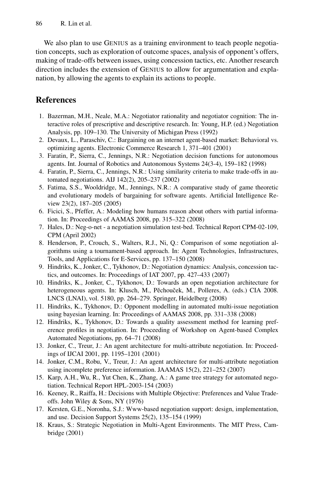We also plan to use GENIUS as a training environment to teach people negotiation concepts, such as exploration of outcome spaces, analysis of opponent's offers, making of trade-offs between issues, using concession tactics, etc. Another research direction includes the extension of GENIUS to allow for argumentation and explanation, by allowing the agents to explain its actions to people.

## <span id="page-17-1"></span>**References**

- 1. Bazerman, M.H., Neale, M.A.: Negotiator rationality and negotiator cognition: The interactive roles of prescriptive and descriptive research. In: Young, H.P. (ed.) Negotiation Analysis, pp. 109–130. The University of Michigan Press (1992)
- 2. Devaux, L., Paraschiv, C.: Bargaining on an internet agent-based market: Behavioral vs. optimizing agents. Electronic Commerce Research 1, 371–401 (2001)
- <span id="page-17-4"></span>3. Faratin, P., Sierra, C., Jennings, N.R.: Negotiation decision functions for autonomous agents. Int. Journal of Robotics and Autonomous Systems 24(3-4), 159–182 (1998)
- 4. Faratin, P., Sierra, C., Jennings, N.R.: Using similarity criteria to make trade-offs in automated negotiations. AIJ 142(2), 205–237 (2002)
- 5. Fatima, S.S., Wooldridge, M., Jennings, N.R.: A comparative study of game theoretic and evolutionary models of bargaining for software agents. Artificial Intelligence Review 23(2), 187–205 (2005)
- <span id="page-17-0"></span>6. Ficici, S., Pfeffer, A.: Modeling how humans reason about others with partial information. In: Proceedings of AAMAS 2008, pp. 315–322 (2008)
- <span id="page-17-7"></span>7. Hales, D.: Neg-o-net - a negotiation simulation test-bed. Technical Report CPM-02-109, CPM (April 2002)
- <span id="page-17-5"></span>8. Henderson, P., Crouch, S., Walters, R.J., Ni, Q.: Comparison of some negotiation algorithms using a tournament-based approach. In: Agent Technologies, Infrastructures, Tools, and Applications for E-Services, pp. 137–150 (2008)
- <span id="page-17-10"></span>9. Hindriks, K., Jonker, C., Tykhonov, D.: Negotiation dynamics: Analysis, concession tactics, and outcomes. In: Proceedings of IAT 2007, pp. 427–433 (2007)
- <span id="page-17-8"></span>10. Hindriks, K., Jonker, C., Tykhonov, D.: Towards an open negotiation architecture for heterogeneous agents. In: Klusch, M., Pěchouček, M., Polleres, A. (eds.) CIA 2008. LNCS (LNAI), vol. 5180, pp. 264–279. Springer, Heidelberg (2008)
- <span id="page-17-11"></span>11. Hindriks, K., Tykhonov, D.: Opponent modelling in automated multi-issue negotiation using bayesian learning. In: Proceedings of AAMAS 2008, pp. 331–338 (2008)
- <span id="page-17-9"></span>12. Hindriks, K., Tykhonov, D.: Towards a quality assessment method for learning preference profiles in negotiation. In: Proceeding of Workshop on Agent-based Complex Automated Negotiations, pp. 64–71 (2008)
- <span id="page-17-12"></span>13. Jonker, C., Treur, J.: An agent architecture for multi-attribute negotiation. In: Proceedings of IJCAI 2001, pp. 1195–1201 (2001)
- <span id="page-17-3"></span>14. Jonker, C.M., Robu, V., Treur, J.: An agent architecture for multi-attribute negotiation using incomplete preference information. JAAMAS 15(2), 221–252 (2007)
- <span id="page-17-2"></span>15. Karp, A.H., Wu, R., Yut Chen, K., Zhang, A.: A game tree strategy for automated negotiation. Technical Report HPL-2003-154 (2003)
- 16. Keeney, R., Raiffa, H.: Decisions with Multiple Objective: Preferences and Value Tradeoffs. John Wiley & Sons, NY (1976)
- <span id="page-17-6"></span>17. Kersten, G.E., Noronha, S.J.: Www-based negotiation support: design, implementation, and use. Decision Support Systems 25(2), 135–154 (1999)
- 18. Kraus, S.: Strategic Negotiation in Multi-Agent Environments. The MIT Press, Cambridge (2001)